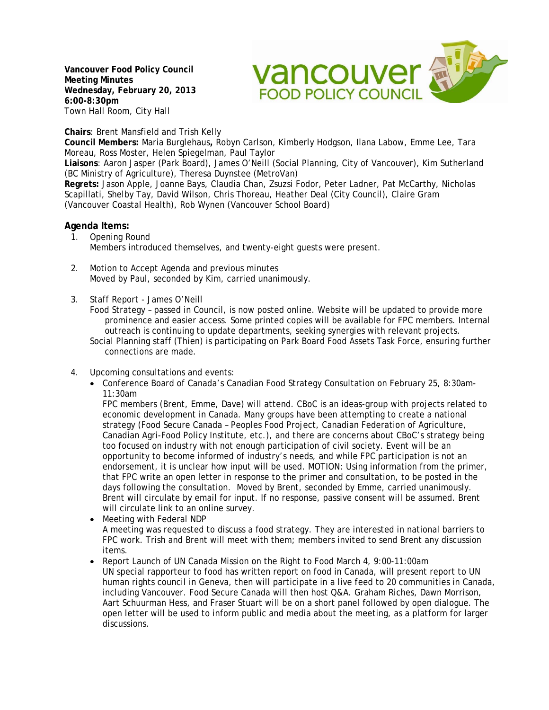**Vancouver Food Policy Council Meeting Minutes Wednesday, February 20, 2013 6:00-8:30pm**  Town Hall Room, City Hall



**Chairs**: Brent Mansfield and Trish Kelly

**Council Members:** Maria Burglehaus**,** Robyn Carlson, Kimberly Hodgson, Ilana Labow, Emme Lee, Tara Moreau, Ross Moster, Helen Spiegelman, Paul Taylor

**Liaisons**: Aaron Jasper (Park Board), James O'Neill (Social Planning, City of Vancouver), Kim Sutherland (BC Ministry of Agriculture), Theresa Duynstee (MetroVan)

**Regrets:** Jason Apple, Joanne Bays, Claudia Chan, Zsuzsi Fodor, Peter Ladner, Pat McCarthy, Nicholas Scapillati, Shelby Tay, David Wilson, Chris Thoreau, Heather Deal (City Council), Claire Gram (Vancouver Coastal Health), Rob Wynen (Vancouver School Board)

## **Agenda Items:**

- 1. Opening Round Members introduced themselves, and twenty-eight guests were present.
- 2. Motion to Accept Agenda and previous minutes Moved by Paul, seconded by Kim, carried unanimously.
- 3. Staff Report James O'Neill
	- Food Strategy passed in Council, is now posted online. Website will be updated to provide more prominence and easier access. Some printed copies will be available for FPC members. Internal outreach is continuing to update departments, seeking synergies with relevant projects.
	- Social Planning staff (Thien) is participating on Park Board Food Assets Task Force, ensuring further connections are made.
- 4. Upcoming consultations and events:
	- Conference Board of Canada's Canadian Food Strategy Consultation on February 25, 8:30am-11:30am

FPC members (Brent, Emme, Dave) will attend. CBoC is an ideas-group with projects related to economic development in Canada. Many groups have been attempting to create a national strategy (Food Secure Canada – Peoples Food Project, Canadian Federation of Agriculture, Canadian Agri-Food Policy Institute, etc.), and there are concerns about CBoC's strategy being too focused on industry with not enough participation of civil society. Event will be an opportunity to become informed of industry's needs, and while FPC participation is not an endorsement, it is unclear how input will be used. MOTION: Using information from the primer, that FPC write an open letter in response to the primer and consultation, to be posted in the days following the consultation. Moved by Brent, seconded by Emme, carried unanimously. Brent will circulate by email for input. If no response, passive consent will be assumed. Brent will circulate link to an online survey.

- Meeting with Federal NDP A meeting was requested to discuss a food strategy. They are interested in national barriers to FPC work. Trish and Brent will meet with them; members invited to send Brent any discussion items.
- Report Launch of UN Canada Mission on the Right to Food March 4, 9:00-11:00am UN special rapporteur to food has written report on food in Canada, will present report to UN human rights council in Geneva, then will participate in a live feed to 20 communities in Canada, including Vancouver. Food Secure Canada will then host Q&A. Graham Riches, Dawn Morrison, Aart Schuurman Hess, and Fraser Stuart will be on a short panel followed by open dialogue. The open letter will be used to inform public and media about the meeting, as a platform for larger discussions.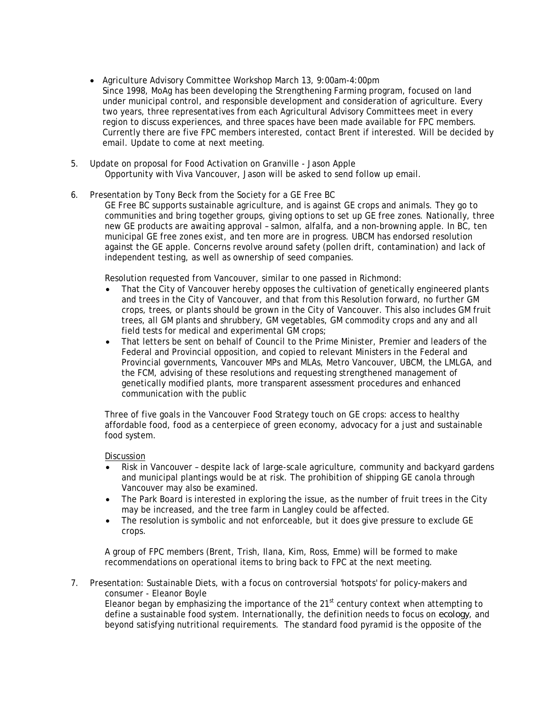- Agriculture Advisory Committee Workshop March 13, 9:00am-4:00pm Since 1998, MoAg has been developing the Strengthening Farming program, focused on land under municipal control, and responsible development and consideration of agriculture. Every two years, three representatives from each Agricultural Advisory Committees meet in every region to discuss experiences, and three spaces have been made available for FPC members. Currently there are five FPC members interested, contact Brent if interested. Will be decided by email. Update to come at next meeting.
- 5. Update on proposal for Food Activation on Granville Jason Apple Opportunity with Viva Vancouver, Jason will be asked to send follow up email.
- 6. Presentation by Tony Beck from the Society for a GE Free BC

GE Free BC supports sustainable agriculture, and is against GE crops and animals. They go to communities and bring together groups, giving options to set up GE free zones. Nationally, three new GE products are awaiting approval – salmon, alfalfa, and a non-browning apple. In BC, ten municipal GE free zones exist, and ten more are in progress. UBCM has endorsed resolution against the GE apple. Concerns revolve around safety (pollen drift, contamination) and lack of independent testing, as well as ownership of seed companies.

Resolution requested from Vancouver, similar to one passed in Richmond:

- That the City of Vancouver hereby opposes the cultivation of genetically engineered plants and trees in the City of Vancouver, and that from this Resolution forward, no further GM crops, trees, or plants should be grown in the City of Vancouver. This also includes GM fruit trees, all GM plants and shrubbery, GM vegetables, GM commodity crops and any and all field tests for medical and experimental GM crops;
- That letters be sent on behalf of Council to the Prime Minister, Premier and leaders of the Federal and Provincial opposition, and copied to relevant Ministers in the Federal and Provincial governments, Vancouver MPs and MLAs, Metro Vancouver, UBCM, the LMLGA, and the FCM, advising of these resolutions and requesting strengthened management of genetically modified plants, more transparent assessment procedures and enhanced communication with the public

Three of five goals in the Vancouver Food Strategy touch on GE crops: access to healthy affordable food, food as a centerpiece of green economy, advocacy for a just and sustainable food system.

**Discussion** 

- Risk in Vancouver despite lack of large-scale agriculture, community and backyard gardens and municipal plantings would be at risk. The prohibition of shipping GE canola through Vancouver may also be examined.
- The Park Board is interested in exploring the issue, as the number of fruit trees in the City may be increased, and the tree farm in Langley could be affected.
- The resolution is symbolic and not enforceable, but it does give pressure to exclude GE crops.

A group of FPC members (Brent, Trish, Ilana, Kim, Ross, Emme) will be formed to make recommendations on operational items to bring back to FPC at the next meeting.

7. Presentation: Sustainable Diets, with a focus on controversial 'hotspots' for policy-makers and consumer - Eleanor Boyle Eleanor began by emphasizing the importance of the  $21<sup>st</sup>$  century context when attempting to define a sustainable food system. Internationally, the definition needs to focus on *ecology*, and beyond satisfying nutritional requirements. The standard food pyramid is the opposite of the